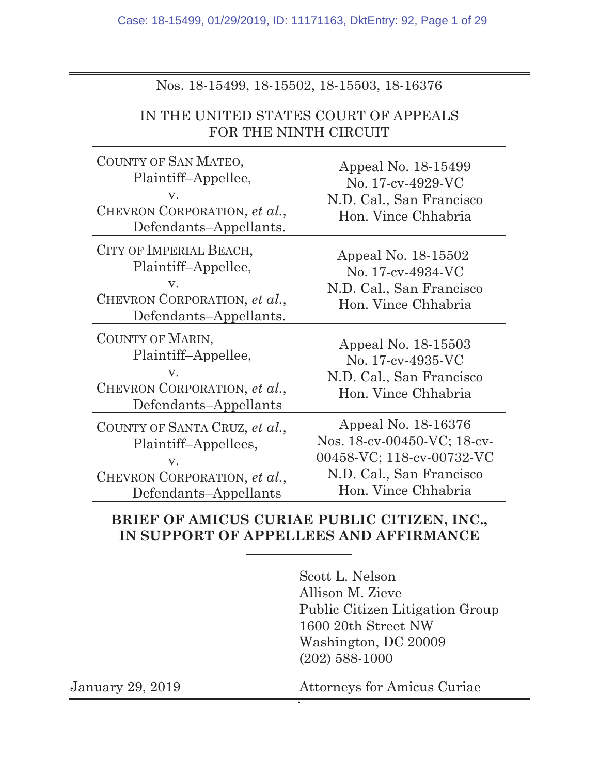Case: 18-15499, 01/29/2019, ID: 11171163, DktEntry: 92, Page 1 of 29

| IN THE UNITED STATES COURT OF APPEALS<br>FOR THE NINTH CIRCUIT                                              |                                                                                             |  |  |  |  |
|-------------------------------------------------------------------------------------------------------------|---------------------------------------------------------------------------------------------|--|--|--|--|
| COUNTY OF SAN MATEO,<br>Plaintiff-Appellee,<br>V.<br>CHEVRON CORPORATION, et al.,<br>Defendants-Appellants. | Appeal No. 18-15499<br>No. 17-cv-4929-VC<br>N.D. Cal., San Francisco<br>Hon. Vince Chhabria |  |  |  |  |
| CITY OF IMPERIAL BEACH,<br>Plaintiff-Appellee,                                                              | Appeal No. 18-15502<br>No. 17-cv-4934-VC                                                    |  |  |  |  |

Nos. 18-15499, 18-15502, 18-15503, 18-16376

v. CHEVRON CORPORATION, *et al.*, Defendants–Appellants 00458-VC; 118-cv-00732-VC N.D. Cal., San Francisco Hon. Vince Chhabria

### **BRIEF OF AMICUS CURIAE PUBLIC CITIZEN, INC., IN SUPPORT OF APPELLEES AND AFFIRMANCE**

Scott L. Nelson Allison M. Zieve Public Citizen Litigation Group 1600 20th Street NW Washington, DC 20009 (202) 588-1000

N.D. Cal., San Francisco Hon. Vince Chhabria

Appeal No. 18-15503 No. 17-cv-4935-VC N.D. Cal., San Francisco Hon. Vince Chhabria

Appeal No. 18-16376 Nos. 18-cv-00450-VC; 18-cv-

v.

v.

COUNTY OF MARIN,

CHEVRON CORPORATION, *et al.*,

Plaintiff–Appellee,

CHEVRON CORPORATION, *et al.*,

COUNTY OF SANTA CRUZ, *et al.*, Plaintiff–Appellees,

Defendants–Appellants

Defendants–Appellants.

January 29, 2019 Attorneys for Amicus Curiae 2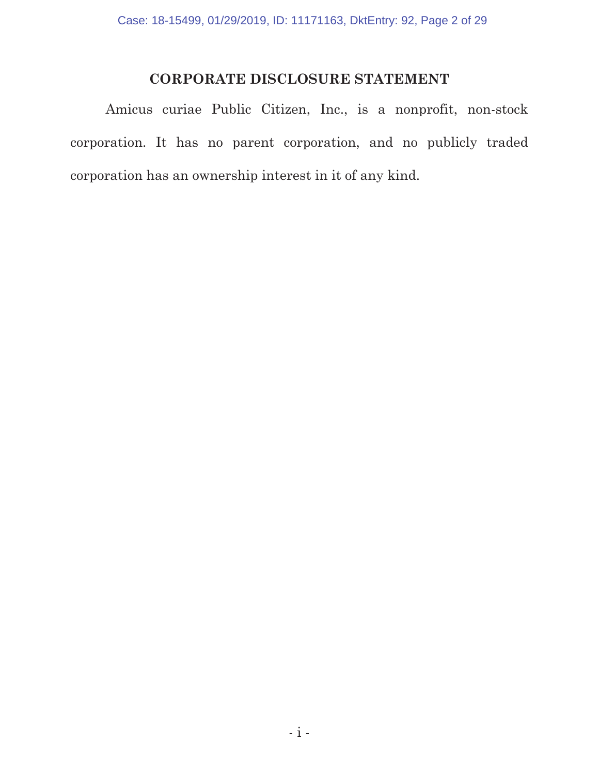## **CORPORATE DISCLOSURE STATEMENT**

Amicus curiae Public Citizen, Inc., is a nonprofit, non-stock corporation. It has no parent corporation, and no publicly traded corporation has an ownership interest in it of any kind.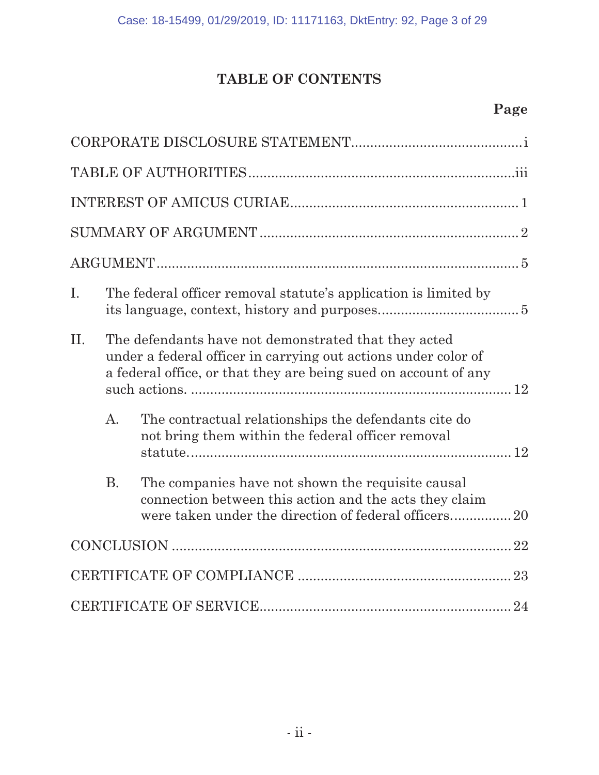## **TABLE OF CONTENTS**

## **Page**

| I. |                                                                                                                                                                                           | The federal officer removal statute's application is limited by                                             |  |
|----|-------------------------------------------------------------------------------------------------------------------------------------------------------------------------------------------|-------------------------------------------------------------------------------------------------------------|--|
| Π. | The defendants have not demonstrated that they acted<br>under a federal officer in carrying out actions under color of<br>a federal office, or that they are being sued on account of any |                                                                                                             |  |
|    | $\mathbf{A}$ .                                                                                                                                                                            | The contractual relationships the defendants cite do<br>not bring them within the federal officer removal   |  |
|    | <b>B.</b>                                                                                                                                                                                 | The companies have not shown the requisite causal<br>connection between this action and the acts they claim |  |
|    |                                                                                                                                                                                           |                                                                                                             |  |
|    |                                                                                                                                                                                           |                                                                                                             |  |
|    |                                                                                                                                                                                           |                                                                                                             |  |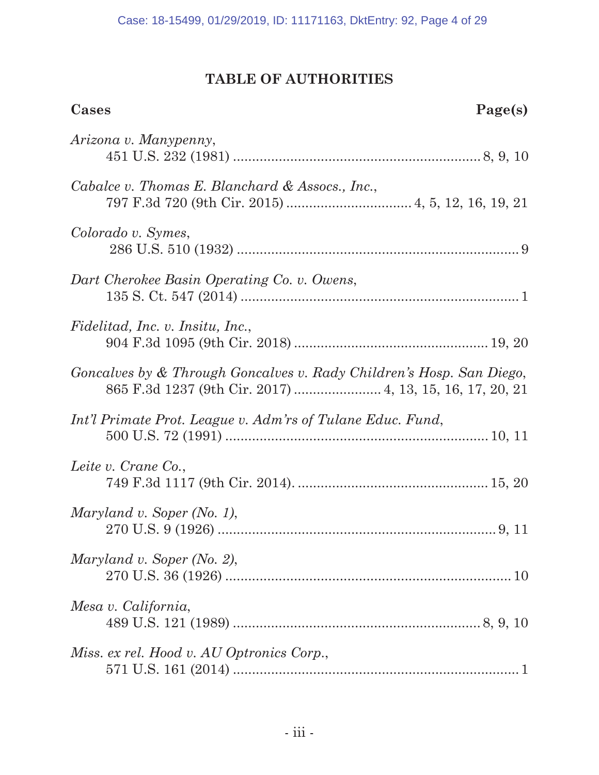## **TABLE OF AUTHORITIES**

| Cases<br>Page(s)                                                                                                                 |
|----------------------------------------------------------------------------------------------------------------------------------|
| Arizona v. Manypenny,                                                                                                            |
| Cabalce v. Thomas E. Blanchard & Assocs., Inc.,                                                                                  |
| Colorado v. Symes,                                                                                                               |
| Dart Cherokee Basin Operating Co. v. Owens,                                                                                      |
| Fidelitad, Inc. v. Insitu, Inc.,                                                                                                 |
| Goncalves by & Through Goncalves v. Rady Children's Hosp. San Diego,<br>865 F.3d 1237 (9th Cir. 2017)  4, 13, 15, 16, 17, 20, 21 |
| Int'l Primate Prot. League v. Adm'rs of Tulane Educ. Fund,                                                                       |
| Leite v. Crane Co.,                                                                                                              |
| Maryland v. Soper (No. 1),                                                                                                       |
| Maryland v. Soper (No. 2),                                                                                                       |
| Mesa v. California,                                                                                                              |
| Miss. ex rel. Hood v. AU Optronics Corp.,                                                                                        |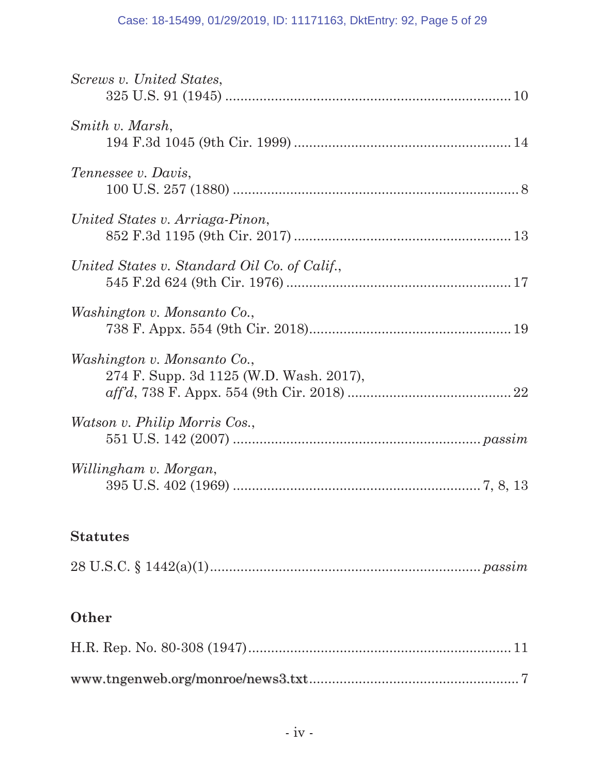| Screws v. United States,                                               |
|------------------------------------------------------------------------|
| Smith v. Marsh,                                                        |
| Tennessee v. Davis,                                                    |
| United States v. Arriaga-Pinon,                                        |
| United States v. Standard Oil Co. of Calif.,                           |
| Washington v. Monsanto Co.,                                            |
| Washington v. Monsanto Co.,<br>274 F. Supp. 3d 1125 (W.D. Wash. 2017), |
| <i>Watson v. Philip Morris Cos.,</i>                                   |
| Willingham v. Morgan,                                                  |

## **Statutes**

|--|--|

# **Other**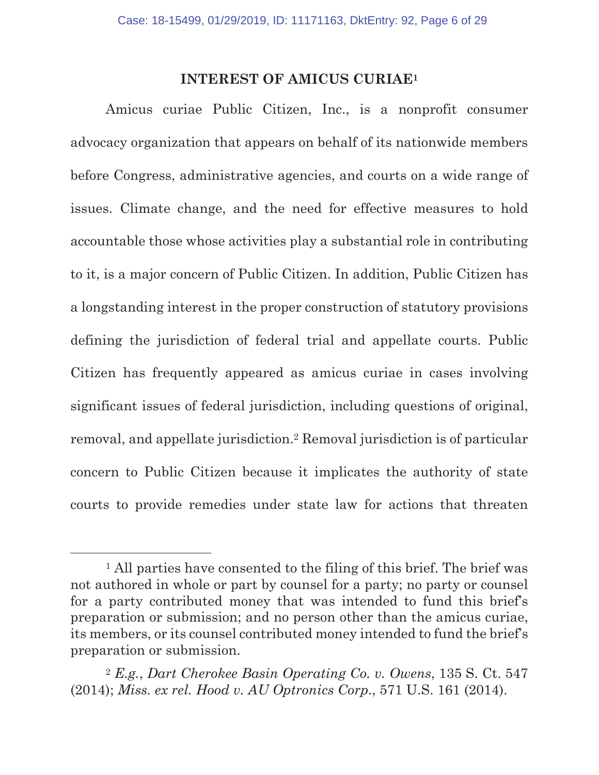### **INTEREST OF AMICUS CURIAE1**

Amicus curiae Public Citizen, Inc., is a nonprofit consumer advocacy organization that appears on behalf of its nationwide members before Congress, administrative agencies, and courts on a wide range of issues. Climate change, and the need for effective measures to hold accountable those whose activities play a substantial role in contributing to it, is a major concern of Public Citizen. In addition, Public Citizen has a longstanding interest in the proper construction of statutory provisions defining the jurisdiction of federal trial and appellate courts. Public Citizen has frequently appeared as amicus curiae in cases involving significant issues of federal jurisdiction, including questions of original, removal, and appellate jurisdiction.2 Removal jurisdiction is of particular concern to Public Citizen because it implicates the authority of state courts to provide remedies under state law for actions that threaten

<sup>&</sup>lt;sup>1</sup> All parties have consented to the filing of this brief. The brief was not authored in whole or part by counsel for a party; no party or counsel for a party contributed money that was intended to fund this brief's preparation or submission; and no person other than the amicus curiae, its members, or its counsel contributed money intended to fund the brief's preparation or submission.

<sup>2</sup> *E.g.*, *Dart Cherokee Basin Operating Co. v. Owens*, 135 S. Ct. 547 (2014); *Miss. ex rel. Hood v. AU Optronics Corp*., 571 U.S. 161 (2014).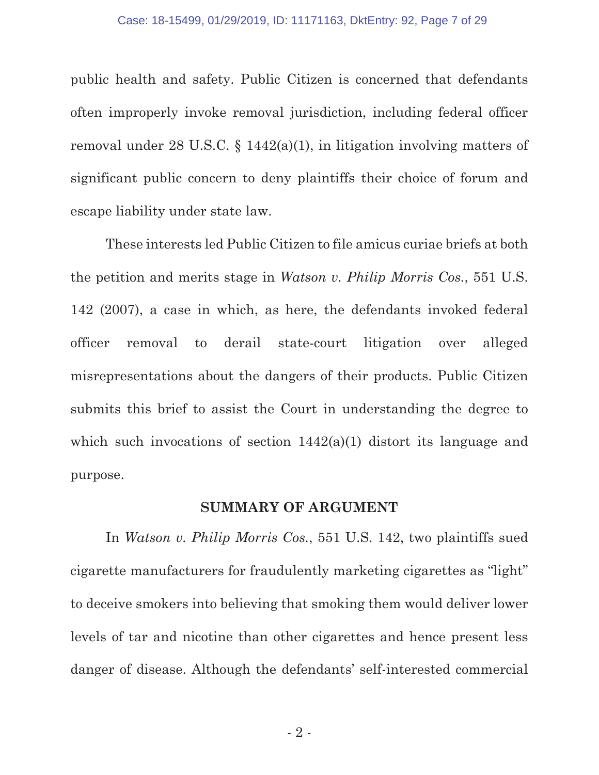public health and safety. Public Citizen is concerned that defendants often improperly invoke removal jurisdiction, including federal officer removal under 28 U.S.C. § 1442(a)(1), in litigation involving matters of significant public concern to deny plaintiffs their choice of forum and escape liability under state law.

These interests led Public Citizen to file amicus curiae briefs at both the petition and merits stage in *Watson v. Philip Morris Cos.*, 551 U.S. 142 (2007), a case in which, as here, the defendants invoked federal officer removal to derail state-court litigation over alleged misrepresentations about the dangers of their products. Public Citizen submits this brief to assist the Court in understanding the degree to which such invocations of section  $1442(a)(1)$  distort its language and purpose.

#### **SUMMARY OF ARGUMENT**

In *Watson v. Philip Morris Cos.*, 551 U.S. 142, two plaintiffs sued cigarette manufacturers for fraudulently marketing cigarettes as "light" to deceive smokers into believing that smoking them would deliver lower levels of tar and nicotine than other cigarettes and hence present less danger of disease. Although the defendants' self-interested commercial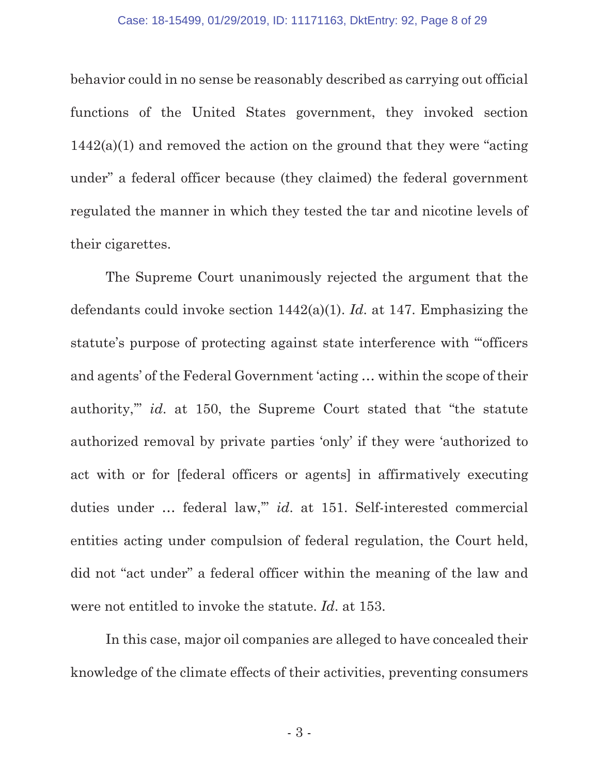behavior could in no sense be reasonably described as carrying out official functions of the United States government, they invoked section  $1442(a)(1)$  and removed the action on the ground that they were "acting" under" a federal officer because (they claimed) the federal government regulated the manner in which they tested the tar and nicotine levels of their cigarettes.

The Supreme Court unanimously rejected the argument that the defendants could invoke section 1442(a)(1). *Id*. at 147. Emphasizing the statute's purpose of protecting against state interference with "'officers and agents' of the Federal Government 'acting … within the scope of their authority,'" *id*. at 150, the Supreme Court stated that "the statute authorized removal by private parties 'only' if they were 'authorized to act with or for [federal officers or agents] in affirmatively executing duties under … federal law,'" *id*. at 151. Self-interested commercial entities acting under compulsion of federal regulation, the Court held, did not "act under" a federal officer within the meaning of the law and were not entitled to invoke the statute. *Id*. at 153.

In this case, major oil companies are alleged to have concealed their knowledge of the climate effects of their activities, preventing consumers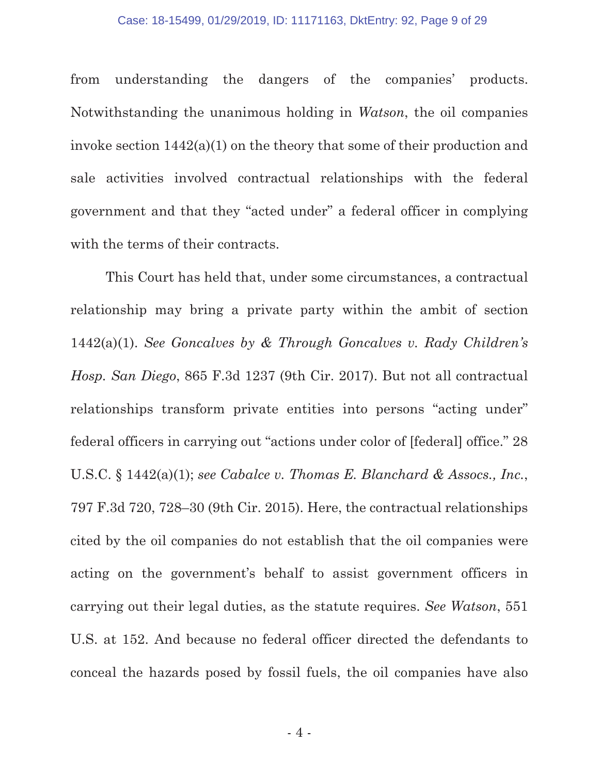#### Case: 18-15499, 01/29/2019, ID: 11171163, DktEntry: 92, Page 9 of 29

from understanding the dangers of the companies' products. Notwithstanding the unanimous holding in *Watson*, the oil companies invoke section 1442(a)(1) on the theory that some of their production and sale activities involved contractual relationships with the federal government and that they "acted under" a federal officer in complying with the terms of their contracts.

This Court has held that, under some circumstances, a contractual relationship may bring a private party within the ambit of section 1442(a)(1). *See Goncalves by & Through Goncalves v. Rady Children's Hosp. San Diego*, 865 F.3d 1237 (9th Cir. 2017). But not all contractual relationships transform private entities into persons "acting under" federal officers in carrying out "actions under color of [federal] office." 28 U.S.C. § 1442(a)(1); *see Cabalce v. Thomas E. Blanchard & Assocs., Inc.*, 797 F.3d 720, 728–30 (9th Cir. 2015). Here, the contractual relationships cited by the oil companies do not establish that the oil companies were acting on the government's behalf to assist government officers in carrying out their legal duties, as the statute requires. *See Watson*, 551 U.S. at 152. And because no federal officer directed the defendants to conceal the hazards posed by fossil fuels, the oil companies have also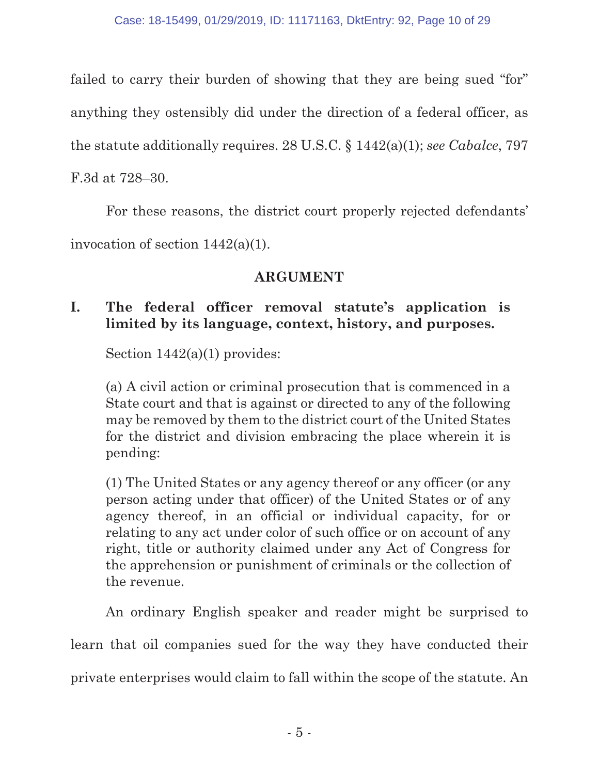failed to carry their burden of showing that they are being sued "for" anything they ostensibly did under the direction of a federal officer, as the statute additionally requires. 28 U.S.C. § 1442(a)(1); *see Cabalce*, 797 F.3d at 728–30.

For these reasons, the district court properly rejected defendants' invocation of section 1442(a)(1).

## **ARGUMENT**

## **I. The federal officer removal statute's application is limited by its language, context, history, and purposes.**

Section  $1442(a)(1)$  provides:

(a) A civil action or criminal prosecution that is commenced in a State court and that is against or directed to any of the following may be removed by them to the district court of the United States for the district and division embracing the place wherein it is pending:

(1) The United States or any agency thereof or any officer (or any person acting under that officer) of the United States or of any agency thereof, in an official or individual capacity, for or relating to any act under color of such office or on account of any right, title or authority claimed under any Act of Congress for the apprehension or punishment of criminals or the collection of the revenue.

An ordinary English speaker and reader might be surprised to

learn that oil companies sued for the way they have conducted their

private enterprises would claim to fall within the scope of the statute. An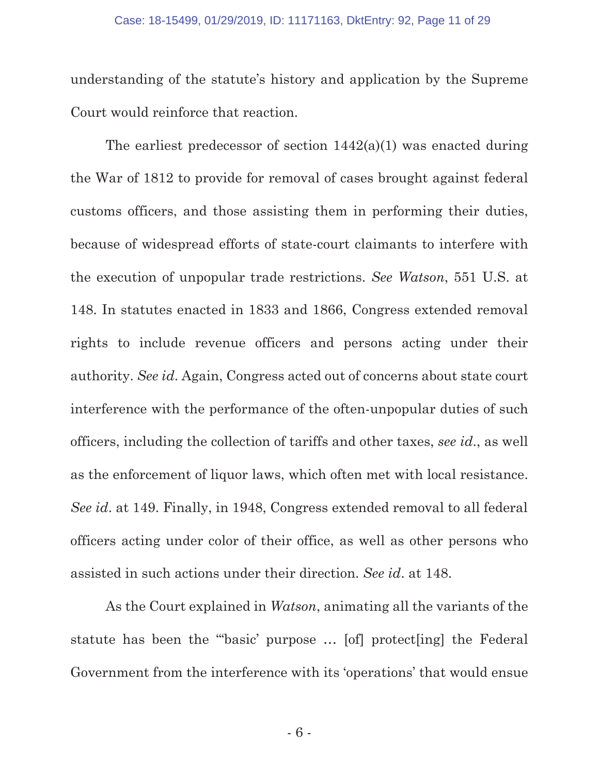understanding of the statute's history and application by the Supreme Court would reinforce that reaction.

The earliest predecessor of section  $1442(a)(1)$  was enacted during the War of 1812 to provide for removal of cases brought against federal customs officers, and those assisting them in performing their duties, because of widespread efforts of state-court claimants to interfere with the execution of unpopular trade restrictions. *See Watson*, 551 U.S. at 148. In statutes enacted in 1833 and 1866, Congress extended removal rights to include revenue officers and persons acting under their authority. *See id*. Again, Congress acted out of concerns about state court interference with the performance of the often-unpopular duties of such officers, including the collection of tariffs and other taxes, *see id*., as well as the enforcement of liquor laws, which often met with local resistance. *See id*. at 149. Finally, in 1948, Congress extended removal to all federal officers acting under color of their office, as well as other persons who assisted in such actions under their direction. *See id*. at 148.

As the Court explained in *Watson*, animating all the variants of the statute has been the "'basic' purpose … [of] protect[ing] the Federal Government from the interference with its 'operations' that would ensue

- 6 -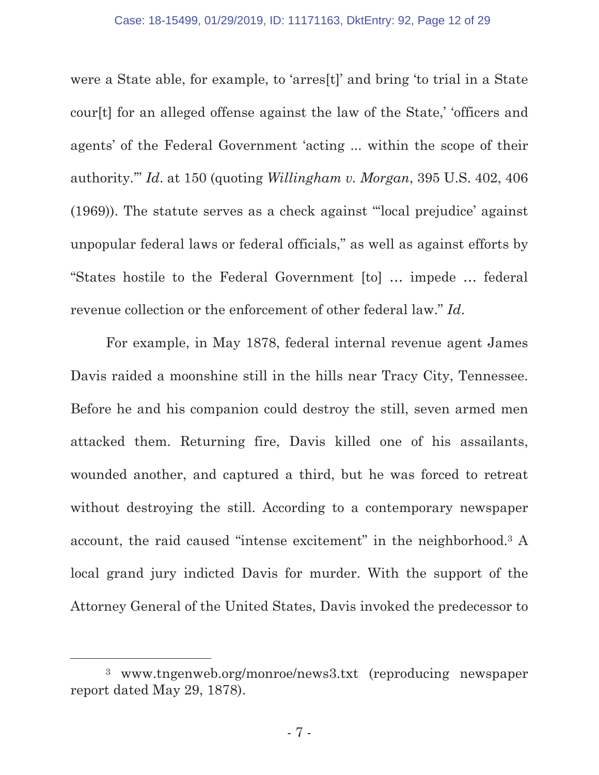were a State able, for example, to 'arres[t]' and bring 'to trial in a State cour[t] for an alleged offense against the law of the State,' 'officers and agents' of the Federal Government 'acting ... within the scope of their authority.'" *Id*. at 150 (quoting *Willingham v. Morgan*, 395 U.S. 402, 406 (1969)). The statute serves as a check against "'local prejudice' against unpopular federal laws or federal officials," as well as against efforts by "States hostile to the Federal Government [to] … impede … federal revenue collection or the enforcement of other federal law." *Id*.

For example, in May 1878, federal internal revenue agent James Davis raided a moonshine still in the hills near Tracy City, Tennessee. Before he and his companion could destroy the still, seven armed men attacked them. Returning fire, Davis killed one of his assailants, wounded another, and captured a third, but he was forced to retreat without destroying the still. According to a contemporary newspaper account, the raid caused "intense excitement" in the neighborhood.3 A local grand jury indicted Davis for murder. With the support of the Attorney General of the United States, Davis invoked the predecessor to

 <sup>3</sup> www.tngenweb.org/monroe/news3.txt (reproducing newspaper report dated May 29, 1878).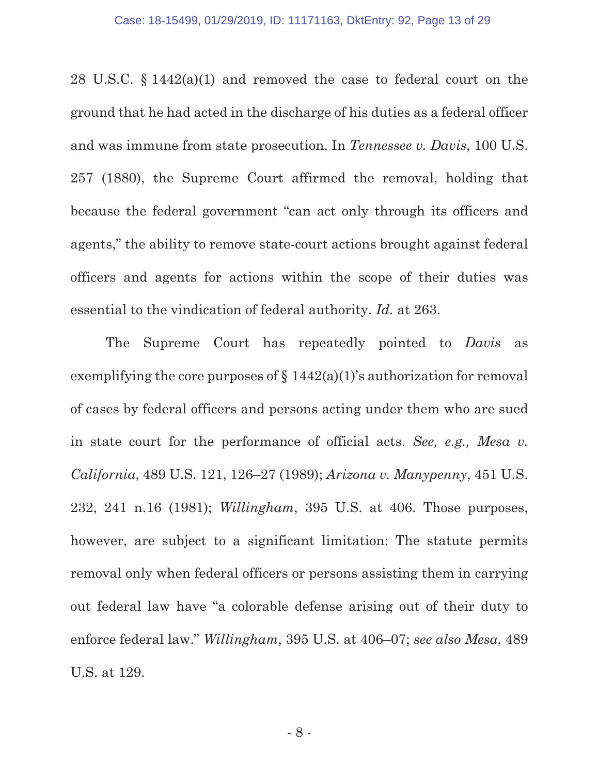28 U.S.C. § 1442(a)(1) and removed the case to federal court on the ground that he had acted in the discharge of his duties as a federal officer and was immune from state prosecution. In *Tennessee v. Davis*, 100 U.S. 257 (1880), the Supreme Court affirmed the removal, holding that because the federal government "can act only through its officers and agents," the ability to remove state-court actions brought against federal officers and agents for actions within the scope of their duties was essential to the vindication of federal authority. *Id.* at 263.

The Supreme Court has repeatedly pointed to *Davis* as exemplifying the core purposes of  $\S 1442(a)(1)$ 's authorization for removal of cases by federal officers and persons acting under them who are sued in state court for the performance of official acts. *See, e.g., Mesa v. California*, 489 U.S. 121, 126–27 (1989); *Arizona v. Manypenny*, 451 U.S. 232, 241 n.16 (1981); *Willingham*, 395 U.S. at 406. Those purposes, however, are subject to a significant limitation: The statute permits removal only when federal officers or persons assisting them in carrying out federal law have "a colorable defense arising out of their duty to enforce federal law." *Willingham*, 395 U.S. at 406–07; *see also Mesa*, 489 U.S. at 129.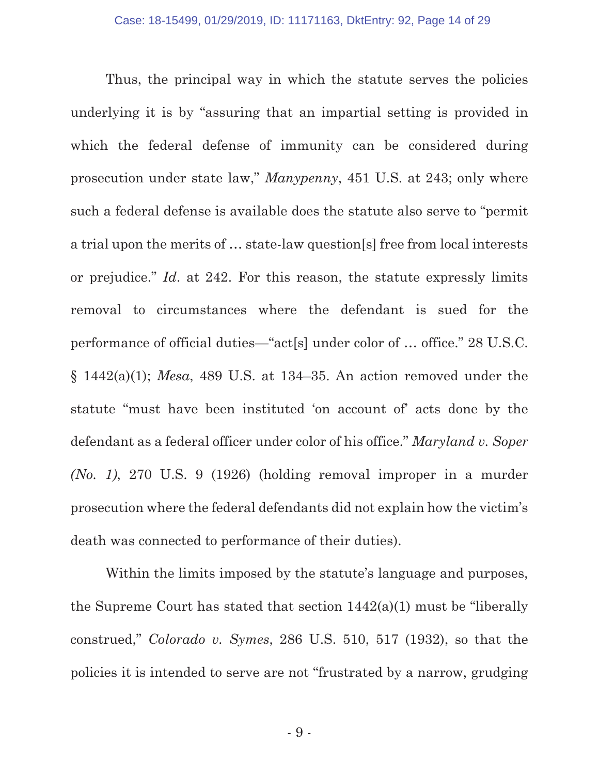Thus, the principal way in which the statute serves the policies underlying it is by "assuring that an impartial setting is provided in which the federal defense of immunity can be considered during prosecution under state law," *Manypenny*, 451 U.S. at 243; only where such a federal defense is available does the statute also serve to "permit a trial upon the merits of … state-law question[s] free from local interests or prejudice." *Id*. at 242. For this reason, the statute expressly limits removal to circumstances where the defendant is sued for the performance of official duties—"act[s] under color of … office." 28 U.S.C. § 1442(a)(1); *Mesa*, 489 U.S. at 134–35. An action removed under the statute "must have been instituted 'on account of' acts done by the defendant as a federal officer under color of his office." *Maryland v. Soper (No. 1)*, 270 U.S. 9 (1926) (holding removal improper in a murder prosecution where the federal defendants did not explain how the victim's death was connected to performance of their duties).

Within the limits imposed by the statute's language and purposes, the Supreme Court has stated that section 1442(a)(1) must be "liberally construed," *Colorado v. Symes*, 286 U.S. 510, 517 (1932), so that the policies it is intended to serve are not "frustrated by a narrow, grudging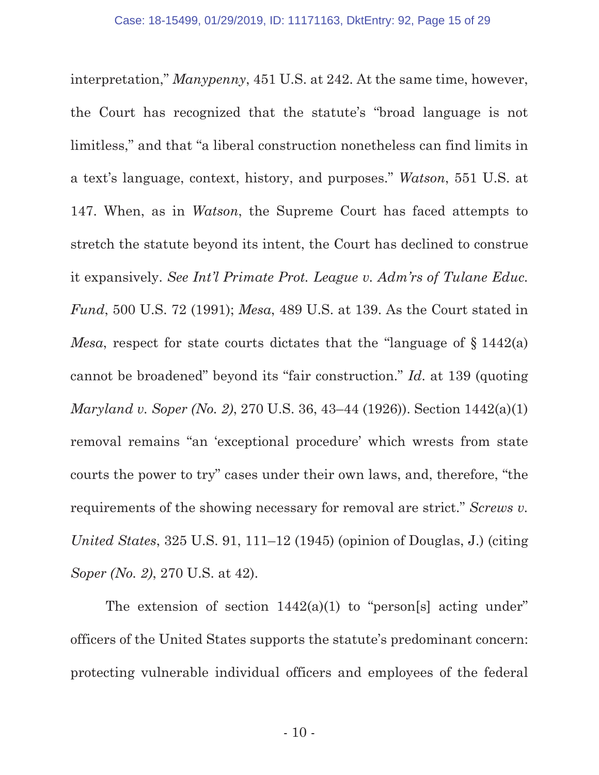interpretation," *Manypenny*, 451 U.S. at 242. At the same time, however, the Court has recognized that the statute's "broad language is not limitless," and that "a liberal construction nonetheless can find limits in a text's language, context, history, and purposes." *Watson*, 551 U.S. at 147. When, as in *Watson*, the Supreme Court has faced attempts to stretch the statute beyond its intent, the Court has declined to construe it expansively. *See Int'l Primate Prot. League v. Adm'rs of Tulane Educ. Fund*, 500 U.S. 72 (1991); *Mesa*, 489 U.S. at 139. As the Court stated in *Mesa*, respect for state courts dictates that the "language of § 1442(a) cannot be broadened" beyond its "fair construction." *Id*. at 139 (quoting *Maryland v. Soper (No. 2)*, 270 U.S. 36, 43–44 (1926)). Section 1442(a)(1) removal remains "an 'exceptional procedure' which wrests from state courts the power to try" cases under their own laws, and, therefore, "the requirements of the showing necessary for removal are strict." *Screws v. United States*, 325 U.S. 91, 111–12 (1945) (opinion of Douglas, J.) (citing *Soper (No. 2)*, 270 U.S. at 42).

The extension of section  $1442(a)(1)$  to "person[s] acting under" officers of the United States supports the statute's predominant concern: protecting vulnerable individual officers and employees of the federal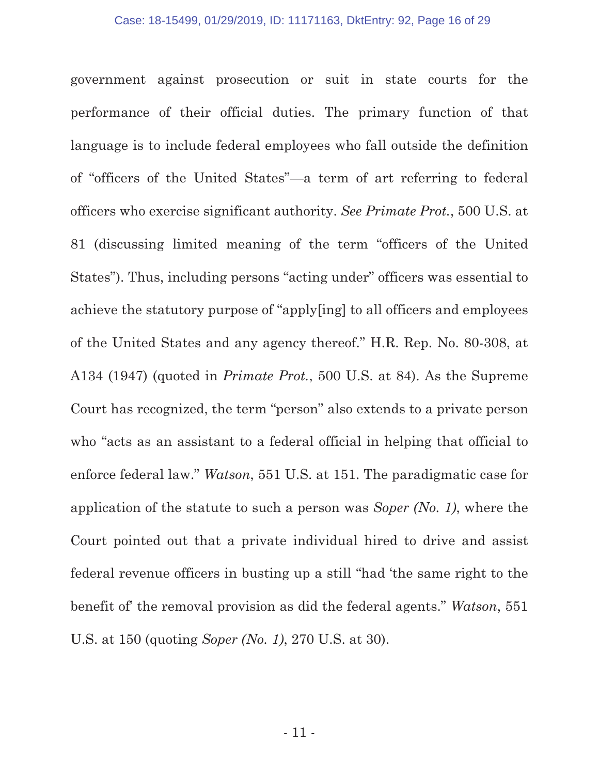government against prosecution or suit in state courts for the performance of their official duties. The primary function of that language is to include federal employees who fall outside the definition of "officers of the United States"—a term of art referring to federal officers who exercise significant authority. *See Primate Prot.*, 500 U.S. at 81 (discussing limited meaning of the term "officers of the United States"). Thus, including persons "acting under" officers was essential to achieve the statutory purpose of "apply[ing] to all officers and employees of the United States and any agency thereof." H.R. Rep. No. 80-308, at A134 (1947) (quoted in *Primate Prot.*, 500 U.S. at 84). As the Supreme Court has recognized, the term "person" also extends to a private person who "acts as an assistant to a federal official in helping that official to enforce federal law." *Watson*, 551 U.S. at 151. The paradigmatic case for application of the statute to such a person was *Soper (No. 1)*, where the Court pointed out that a private individual hired to drive and assist federal revenue officers in busting up a still "had 'the same right to the benefit of' the removal provision as did the federal agents." *Watson*, 551 U.S. at 150 (quoting *Soper (No. 1)*, 270 U.S. at 30).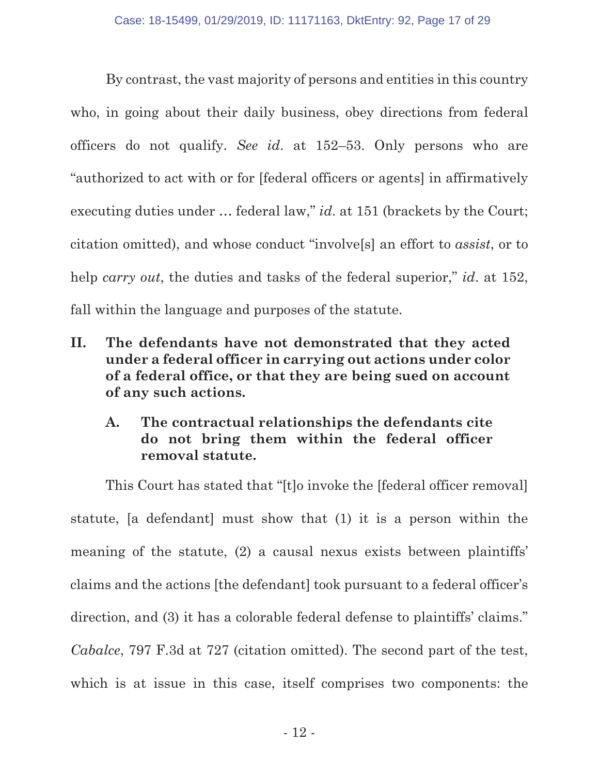By contrast, the vast majority of persons and entities in this country who, in going about their daily business, obey directions from federal officers do not qualify. *See id*. at 152–53. Only persons who are "authorized to act with or for [federal officers or agents] in affirmatively executing duties under … federal law," *id*. at 151 (brackets by the Court; citation omitted), and whose conduct "involve[s] an effort to *assist*, or to help *carry out*, the duties and tasks of the federal superior," *id.* at 152, fall within the language and purposes of the statute.

- **II. The defendants have not demonstrated that they acted under a federal officer in carrying out actions under color of a federal office, or that they are being sued on account of any such actions.** 
	- **A. The contractual relationships the defendants cite do not bring them within the federal officer removal statute.**

This Court has stated that "[t]o invoke the [federal officer removal] statute, [a defendant] must show that (1) it is a person within the meaning of the statute, (2) a causal nexus exists between plaintiffs' claims and the actions [the defendant] took pursuant to a federal officer's direction, and (3) it has a colorable federal defense to plaintiffs' claims." *Cabalce*, 797 F.3d at 727 (citation omitted). The second part of the test, which is at issue in this case, itself comprises two components: the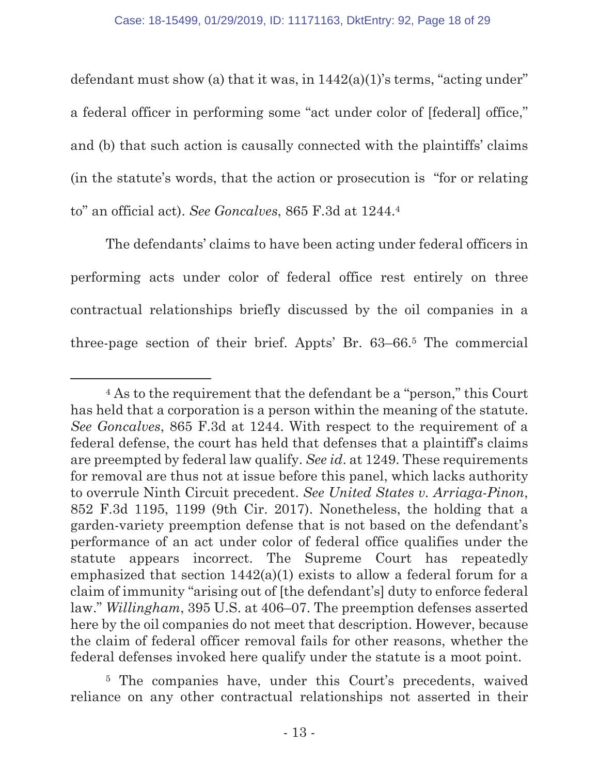defendant must show (a) that it was, in  $1442(a)(1)$ 's terms, "acting under" a federal officer in performing some "act under color of [federal] office," and (b) that such action is causally connected with the plaintiffs' claims (in the statute's words, that the action or prosecution is "for or relating to" an official act). *See Goncalves*, 865 F.3d at 1244.4

The defendants' claims to have been acting under federal officers in performing acts under color of federal office rest entirely on three contractual relationships briefly discussed by the oil companies in a three-page section of their brief. Appts' Br. 63–66.5 The commercial

5 The companies have, under this Court's precedents, waived reliance on any other contractual relationships not asserted in their

 <sup>4</sup> As to the requirement that the defendant be a "person," this Court has held that a corporation is a person within the meaning of the statute. *See Goncalves*, 865 F.3d at 1244. With respect to the requirement of a federal defense, the court has held that defenses that a plaintiff's claims are preempted by federal law qualify. *See id*. at 1249. These requirements for removal are thus not at issue before this panel, which lacks authority to overrule Ninth Circuit precedent. *See United States v. Arriaga-Pinon*, 852 F.3d 1195, 1199 (9th Cir. 2017). Nonetheless, the holding that a garden-variety preemption defense that is not based on the defendant's performance of an act under color of federal office qualifies under the statute appears incorrect. The Supreme Court has repeatedly emphasized that section  $1442(a)(1)$  exists to allow a federal forum for a claim of immunity "arising out of [the defendant's] duty to enforce federal law." *Willingham*, 395 U.S. at 406–07. The preemption defenses asserted here by the oil companies do not meet that description. However, because the claim of federal officer removal fails for other reasons, whether the federal defenses invoked here qualify under the statute is a moot point.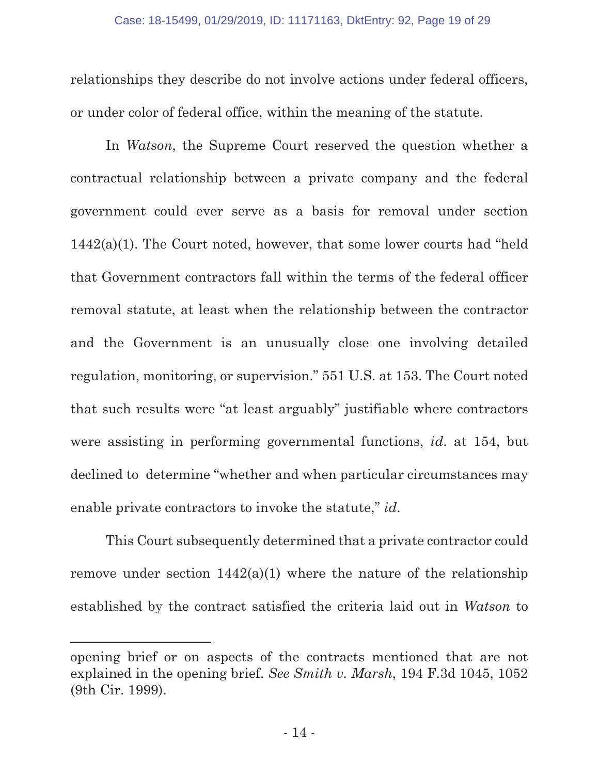relationships they describe do not involve actions under federal officers, or under color of federal office, within the meaning of the statute.

In *Watson*, the Supreme Court reserved the question whether a contractual relationship between a private company and the federal government could ever serve as a basis for removal under section  $1442(a)(1)$ . The Court noted, however, that some lower courts had "held" that Government contractors fall within the terms of the federal officer removal statute, at least when the relationship between the contractor and the Government is an unusually close one involving detailed regulation, monitoring, or supervision." 551 U.S. at 153. The Court noted that such results were "at least arguably" justifiable where contractors were assisting in performing governmental functions, *id*. at 154, but declined to determine "whether and when particular circumstances may enable private contractors to invoke the statute," *id*.

This Court subsequently determined that a private contractor could remove under section  $1442(a)(1)$  where the nature of the relationship established by the contract satisfied the criteria laid out in *Watson* to

l

opening brief or on aspects of the contracts mentioned that are not explained in the opening brief. *See Smith v. Marsh*, 194 F.3d 1045, 1052 (9th Cir. 1999).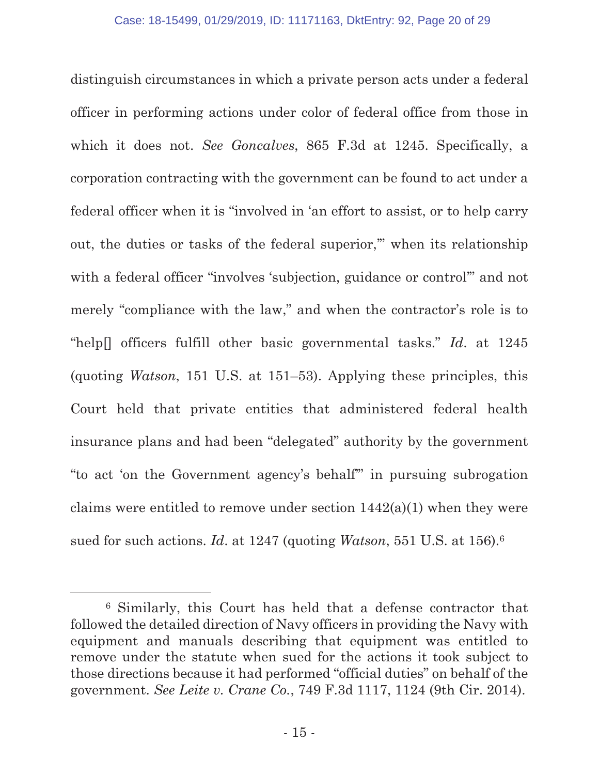distinguish circumstances in which a private person acts under a federal officer in performing actions under color of federal office from those in which it does not. *See Goncalves*, 865 F.3d at 1245. Specifically, a corporation contracting with the government can be found to act under a federal officer when it is "involved in 'an effort to assist, or to help carry out, the duties or tasks of the federal superior,'" when its relationship with a federal officer "involves 'subjection, guidance or control'" and not merely "compliance with the law," and when the contractor's role is to "help[] officers fulfill other basic governmental tasks." *Id*. at 1245 (quoting *Watson*, 151 U.S. at 151–53). Applying these principles, this Court held that private entities that administered federal health insurance plans and had been "delegated" authority by the government "to act 'on the Government agency's behalf'" in pursuing subrogation claims were entitled to remove under section  $1442(a)(1)$  when they were sued for such actions. *Id*. at 1247 (quoting *Watson*, 551 U.S. at 156).6

 <sup>6</sup> Similarly, this Court has held that a defense contractor that followed the detailed direction of Navy officers in providing the Navy with equipment and manuals describing that equipment was entitled to remove under the statute when sued for the actions it took subject to those directions because it had performed "official duties" on behalf of the government. *See Leite v. Crane Co.*, 749 F.3d 1117, 1124 (9th Cir. 2014).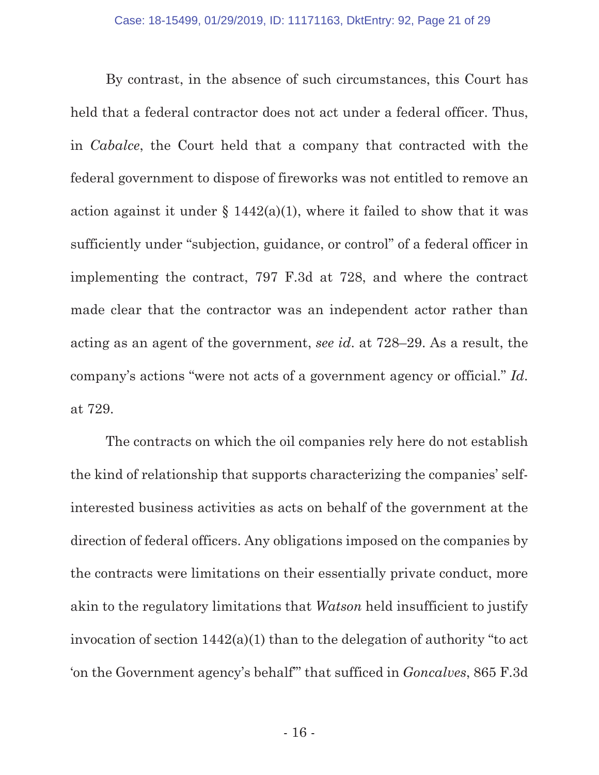By contrast, in the absence of such circumstances, this Court has held that a federal contractor does not act under a federal officer. Thus, in *Cabalce*, the Court held that a company that contracted with the federal government to dispose of fireworks was not entitled to remove an action against it under  $\S 1442(a)(1)$ , where it failed to show that it was sufficiently under "subjection, guidance, or control" of a federal officer in implementing the contract, 797 F.3d at 728, and where the contract made clear that the contractor was an independent actor rather than acting as an agent of the government, *see id*. at 728–29. As a result, the company's actions "were not acts of a government agency or official." *Id*. at 729.

The contracts on which the oil companies rely here do not establish the kind of relationship that supports characterizing the companies' selfinterested business activities as acts on behalf of the government at the direction of federal officers. Any obligations imposed on the companies by the contracts were limitations on their essentially private conduct, more akin to the regulatory limitations that *Watson* held insufficient to justify invocation of section 1442(a)(1) than to the delegation of authority "to act 'on the Government agency's behalf'" that sufficed in *Goncalves*, 865 F.3d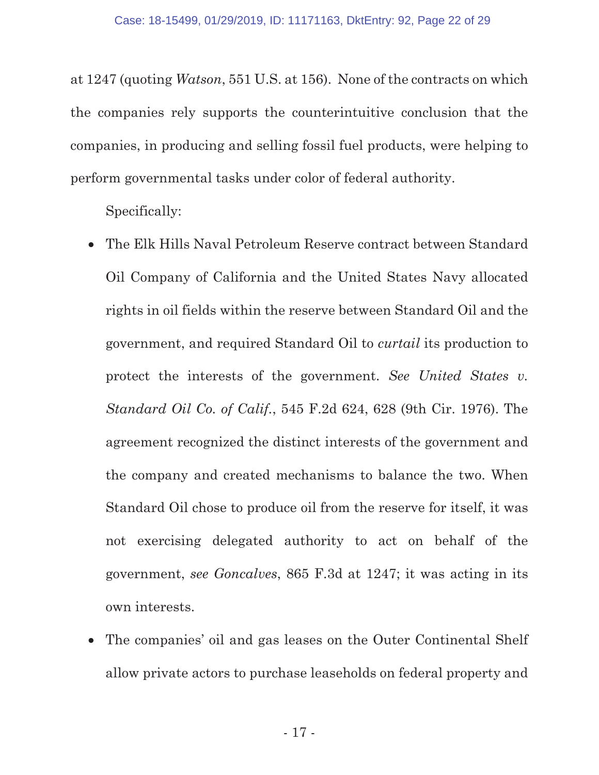at 1247 (quoting *Watson*, 551 U.S. at 156). None of the contracts on which the companies rely supports the counterintuitive conclusion that the companies, in producing and selling fossil fuel products, were helping to perform governmental tasks under color of federal authority.

Specifically:

- The Elk Hills Naval Petroleum Reserve contract between Standard Oil Company of California and the United States Navy allocated rights in oil fields within the reserve between Standard Oil and the government, and required Standard Oil to *curtail* its production to protect the interests of the government. *See United States v. Standard Oil Co. of Calif.*, 545 F.2d 624, 628 (9th Cir. 1976). The agreement recognized the distinct interests of the government and the company and created mechanisms to balance the two. When Standard Oil chose to produce oil from the reserve for itself, it was not exercising delegated authority to act on behalf of the government, *see Goncalves*, 865 F.3d at 1247; it was acting in its own interests.
- The companies' oil and gas leases on the Outer Continental Shelf allow private actors to purchase leaseholds on federal property and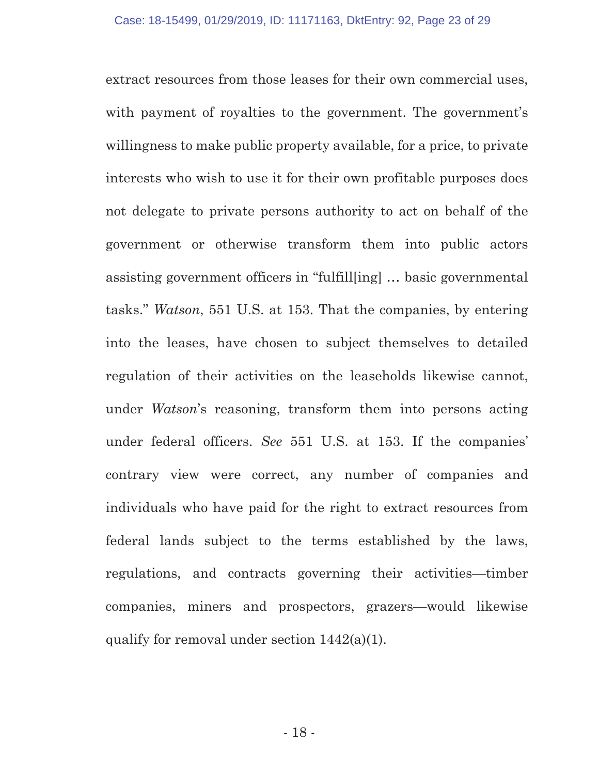extract resources from those leases for their own commercial uses, with payment of royalties to the government. The government's willingness to make public property available, for a price, to private interests who wish to use it for their own profitable purposes does not delegate to private persons authority to act on behalf of the government or otherwise transform them into public actors assisting government officers in "fulfill[ing] … basic governmental tasks." *Watson*, 551 U.S. at 153. That the companies, by entering into the leases, have chosen to subject themselves to detailed regulation of their activities on the leaseholds likewise cannot, under *Watson*'s reasoning, transform them into persons acting under federal officers. *See* 551 U.S. at 153. If the companies' contrary view were correct, any number of companies and individuals who have paid for the right to extract resources from federal lands subject to the terms established by the laws, regulations, and contracts governing their activities—timber companies, miners and prospectors, grazers—would likewise qualify for removal under section 1442(a)(1).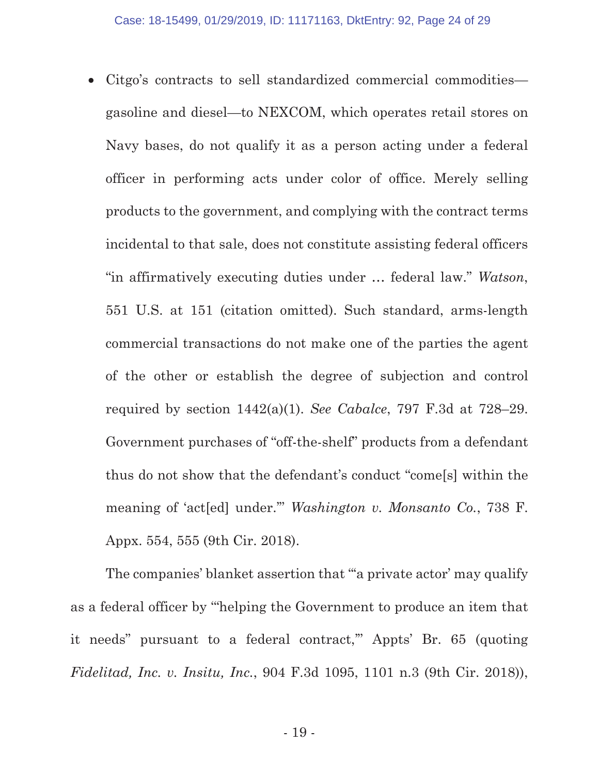• Citgo's contracts to sell standardized commercial commodities gasoline and diesel—to NEXCOM, which operates retail stores on Navy bases, do not qualify it as a person acting under a federal officer in performing acts under color of office. Merely selling products to the government, and complying with the contract terms incidental to that sale, does not constitute assisting federal officers "in affirmatively executing duties under … federal law." *Watson*, 551 U.S. at 151 (citation omitted). Such standard, arms-length commercial transactions do not make one of the parties the agent of the other or establish the degree of subjection and control required by section 1442(a)(1). *See Cabalce*, 797 F.3d at 728–29. Government purchases of "off-the-shelf" products from a defendant thus do not show that the defendant's conduct "come[s] within the meaning of 'act[ed] under.'" *Washington v. Monsanto Co.*, 738 F. Appx. 554, 555 (9th Cir. 2018).

The companies' blanket assertion that "'a private actor' may qualify as a federal officer by '"helping the Government to produce an item that it needs" pursuant to a federal contract,'" Appts' Br. 65 (quoting *Fidelitad, Inc. v. Insitu, Inc.*, 904 F.3d 1095, 1101 n.3 (9th Cir. 2018)),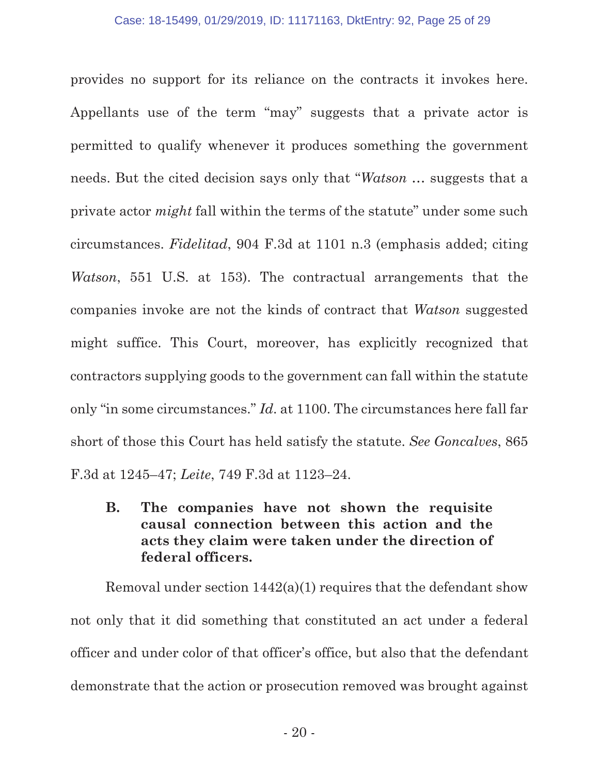provides no support for its reliance on the contracts it invokes here. Appellants use of the term "may" suggests that a private actor is permitted to qualify whenever it produces something the government needs. But the cited decision says only that "*Watson* … suggests that a private actor *might* fall within the terms of the statute" under some such circumstances. *Fidelitad*, 904 F.3d at 1101 n.3 (emphasis added; citing *Watson*, 551 U.S. at 153). The contractual arrangements that the companies invoke are not the kinds of contract that *Watson* suggested might suffice. This Court, moreover, has explicitly recognized that contractors supplying goods to the government can fall within the statute only "in some circumstances." *Id*. at 1100. The circumstances here fall far short of those this Court has held satisfy the statute. *See Goncalves*, 865 F.3d at 1245–47; *Leite*, 749 F.3d at 1123–24.

**B. The companies have not shown the requisite causal connection between this action and the acts they claim were taken under the direction of federal officers.** 

Removal under section 1442(a)(1) requires that the defendant show not only that it did something that constituted an act under a federal officer and under color of that officer's office, but also that the defendant demonstrate that the action or prosecution removed was brought against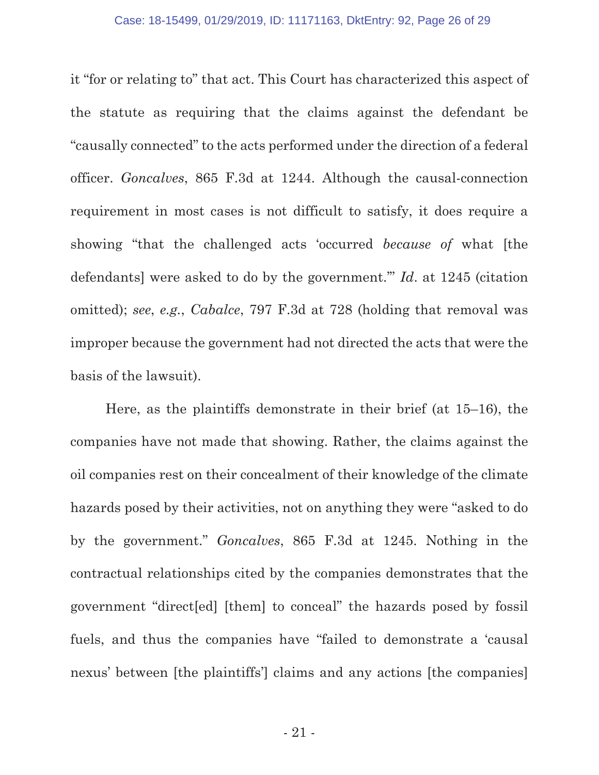it "for or relating to" that act. This Court has characterized this aspect of the statute as requiring that the claims against the defendant be "causally connected" to the acts performed under the direction of a federal officer. *Goncalves*, 865 F.3d at 1244. Although the causal-connection requirement in most cases is not difficult to satisfy, it does require a showing "that the challenged acts 'occurred *because of* what [the defendants] were asked to do by the government.'" *Id*. at 1245 (citation omitted); *see*, *e.g.*, *Cabalce*, 797 F.3d at 728 (holding that removal was improper because the government had not directed the acts that were the basis of the lawsuit).

Here, as the plaintiffs demonstrate in their brief (at 15–16), the companies have not made that showing. Rather, the claims against the oil companies rest on their concealment of their knowledge of the climate hazards posed by their activities, not on anything they were "asked to do by the government." *Goncalves*, 865 F.3d at 1245. Nothing in the contractual relationships cited by the companies demonstrates that the government "direct[ed] [them] to conceal" the hazards posed by fossil fuels, and thus the companies have "failed to demonstrate a 'causal nexus' between [the plaintiffs'] claims and any actions [the companies]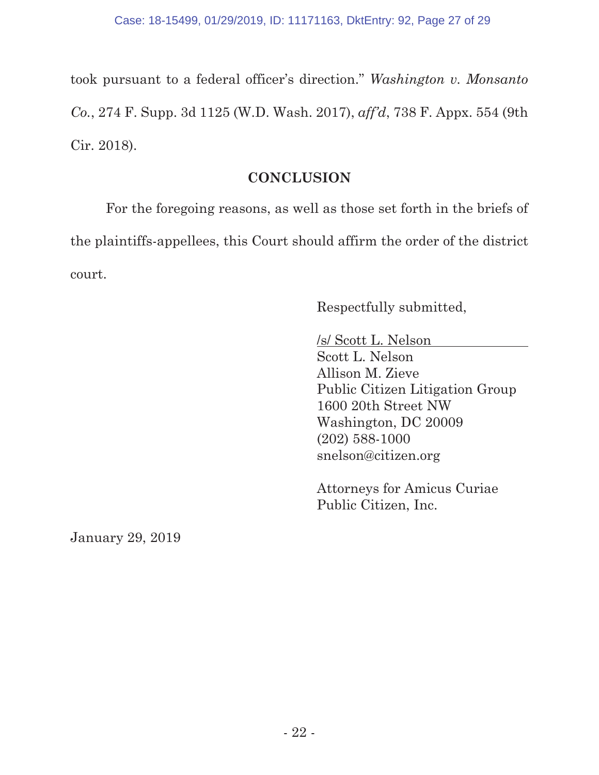took pursuant to a federal officer's direction." *Washington v. Monsanto Co.*, 274 F. Supp. 3d 1125 (W.D. Wash. 2017), *aff'd*, 738 F. Appx. 554 (9th Cir. 2018).

### **CONCLUSION**

For the foregoing reasons, as well as those set forth in the briefs of the plaintiffs-appellees, this Court should affirm the order of the district court.

Respectfully submitted,

/s/ Scott L. Nelson Scott L. Nelson Allison M. Zieve Public Citizen Litigation Group 1600 20th Street NW Washington, DC 20009 (202) 588-1000 snelson@citizen.org

Attorneys for Amicus Curiae Public Citizen, Inc.

January 29, 2019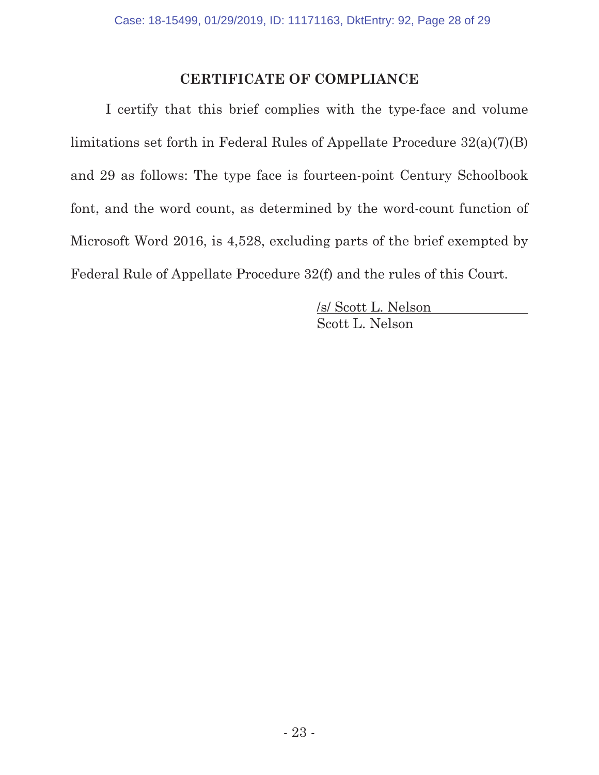### **CERTIFICATE OF COMPLIANCE**

I certify that this brief complies with the type-face and volume limitations set forth in Federal Rules of Appellate Procedure 32(a)(7)(B) and 29 as follows: The type face is fourteen-point Century Schoolbook font, and the word count, as determined by the word-count function of Microsoft Word 2016, is 4,528, excluding parts of the brief exempted by Federal Rule of Appellate Procedure 32(f) and the rules of this Court.

> /s/ Scott L. Nelson Scott L. Nelson